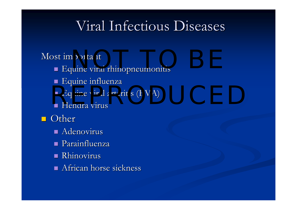## Viral Infectious Diseases

#### Most important

- $\blacksquare$  Equine viral rhinopneumonitis portant
- $\blacksquare$  Equine influenza
- $\blacksquare$  Equine viral arteritis (EVA) Equine viral arteritis (EVA)
- Hendra virus

#### ■ Other

- $\blacksquare$  Adenovirus
- Parainfluenza Parainfluenza
- **Rhinovirus**
- $\blacksquare$  African horse sickness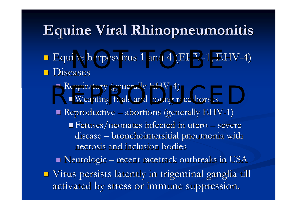# **Equine Viral Rhinopneumonitis**

- $\blacksquare$  Equine herpesvirus 1 and 4 (EHV-1, EHV-4) **Diseases** ine herpesvirus 1 and 4 (EHV-1, EHY
- Respiratory (generally EHV-4) ■ Respiratory (generally Ert v-4)<br>■ Weanling foals and young race horses  $\blacksquare$  Reproductive **Little Controller Controller**  $-$  abortions (generally EHV-1)  $\,$ **Fetuses/neonates infected in utero** – severe disease –  $-$  bronchointersitial pneumonia with  $\overline{\phantom{a}}$ necrosis and inclusion bodies  $\blacksquare$  Neurologic – recent racetrack outbreaks in USA  $\blacksquare$  Virus persists latently in trigeminal ganglia till activated by stress or immune suppression.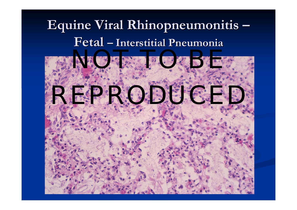#### **Equine Viral Equine Viral Rhinopneumonitis Rhinopneumonitis Fetal –Interstitial Pneumonia Interstitial Pneumonia**

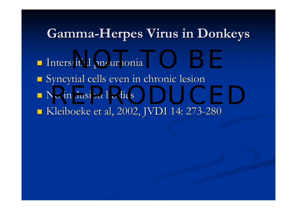### **Gamma-Herpes Virus in Donkeys**

- nd Interstitial pneumonia
- **Syncytial cells even in chronic lesion**
- $\blacksquare$  No inclusion bodies No inclusion bodies and the set of the set of the set of the set of the set of the set of the set of the set of the set of the set of the set of the set of the set of the set of the set of the set of the set of the set of
- Kleiboeke et al, 2002, JVDI 14: 273-280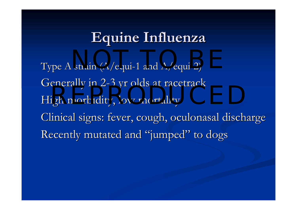# **Equine Influenza Equine Influenza**

Type A strain (A/equi-1 and A/equi-2) Generally in 2-3 yr olds at racetrack High morbidity, low mortality Clinical signs: fever, cough, oculonasal discharge Recently mutated and "jumped" to dogs  $strain (A/equi-1 and A/equi-2)$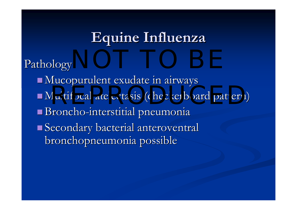# **Equine Influenza Equine Influenza**

Pathology Pathology  $\blacksquare$  Mucopurulent exudate in airways Nultifocal atelectasis (checkerboard pattern) Broncho-interstitial pneumonia  $\blacksquare$  Secondary bacterial anteroventral bronchopneumonia possible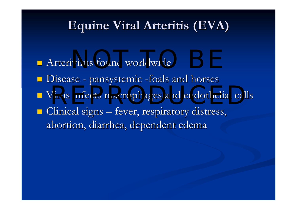### **Equine Viral Arteritis (EVA)**

- n Arterivirus found worldwide
- $\blacksquare$  Disease pansystemic -foals and horses
- **Nirus infects macrophages and endothelial cells**
- $\blacksquare$  Clinical signs fever, respiratory distress, abortion, diarrhea, dependent edema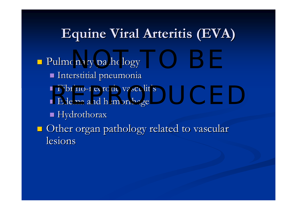## **Equine Viral Arteritis (EVA)**

 $\blacksquare$  Pulmonary pathology Interstitial pneumonia Interstitial pneumonia ■ Fibrino-necrotic vasculitis  $\blacksquare$  Edema and hemorrhage  $\blacksquare$  Hydrothorax  $\blacksquare$  Other organ pathology related to vascular lesions • Fibrino-necrotic vasculitis<br>• Edema and hemorrhage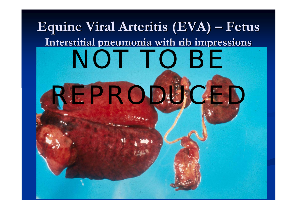#### ${\bf Equi}$ ne Viral Arteritis (EVA)  $\cdot$  **Fetus Interstitial pneumonia with rib impressions Interstitial pneumonia with rib impressions**